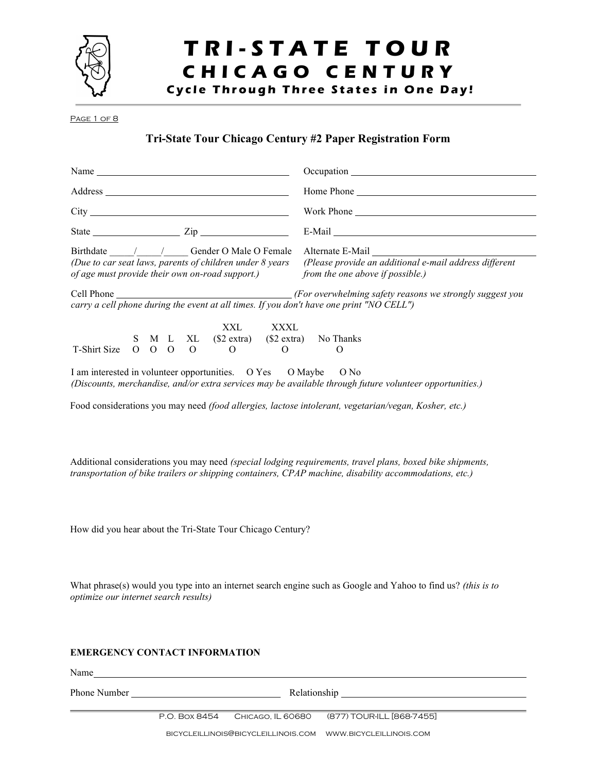

## TRI-STATE TOUR CHICAGO CENTURY

Cycle Through Three States in One Day!

PAGE 1 OF 8

### Tri-State Tour Chicago Century #2 Paper Registration Form

| Name $\frac{1}{\sqrt{1-\frac{1}{2}}\sqrt{1-\frac{1}{2}}\sqrt{1-\frac{1}{2}}\sqrt{1-\frac{1}{2}}\sqrt{1-\frac{1}{2}}\sqrt{1-\frac{1}{2}}\sqrt{1-\frac{1}{2}}\sqrt{1-\frac{1}{2}}\sqrt{1-\frac{1}{2}}\sqrt{1-\frac{1}{2}}\sqrt{1-\frac{1}{2}}\sqrt{1-\frac{1}{2}}\sqrt{1-\frac{1}{2}}\sqrt{1-\frac{1}{2}}\sqrt{1-\frac{1}{2}}\sqrt{1-\frac{1}{2}}\sqrt{1-\frac{1}{2}}\sqrt{1-\frac{1}{2}}\sqrt{1-\frac{1}{2}}\$ |  |  |  |  |     |      | Occupation contract the contract of the contract of the contract of the contract of the contract of the contract of the contract of the contract of the contract of the contract of the contract of the contract of the contra<br>Work Phone |  |  |  |  |
|---------------------------------------------------------------------------------------------------------------------------------------------------------------------------------------------------------------------------------------------------------------------------------------------------------------------------------------------------------------------------------------------------------------|--|--|--|--|-----|------|----------------------------------------------------------------------------------------------------------------------------------------------------------------------------------------------------------------------------------------------|--|--|--|--|
|                                                                                                                                                                                                                                                                                                                                                                                                               |  |  |  |  |     |      |                                                                                                                                                                                                                                              |  |  |  |  |
|                                                                                                                                                                                                                                                                                                                                                                                                               |  |  |  |  |     |      |                                                                                                                                                                                                                                              |  |  |  |  |
|                                                                                                                                                                                                                                                                                                                                                                                                               |  |  |  |  |     |      | E-Mail Parameters and the settlement of the settlement of the settlement of the settlement of the settlement of the settlement of the settlement of the settlement of the settlement of the settlement of the settlement of th               |  |  |  |  |
| Birthdate / / Gender O Male O Female<br>(Due to car seat laws, parents of children under 8 years (Please provide an additional e-mail address different<br>of age must provide their own on-road support.) from the one above if possible.)                                                                                                                                                                   |  |  |  |  |     |      |                                                                                                                                                                                                                                              |  |  |  |  |
|                                                                                                                                                                                                                                                                                                                                                                                                               |  |  |  |  |     |      | carry a cell phone during the event at all times. If you don't have one print "NO CELL")                                                                                                                                                     |  |  |  |  |
| T-Shirt Size O O O O O O O O O                                                                                                                                                                                                                                                                                                                                                                                |  |  |  |  | XXL | XXXL | S M L XL (\$2 extra) (\$2 extra) No Thanks                                                                                                                                                                                                   |  |  |  |  |
| I am interested in volunteer opportunities. O Yes O Maybe                                                                                                                                                                                                                                                                                                                                                     |  |  |  |  |     |      | $O$ No<br>(Discounts, merchandise, and/or extra services may be available through future volunteer opportunities.)                                                                                                                           |  |  |  |  |

Food considerations you may need (food allergies, lactose intolerant, vegetarian/vegan, Kosher, etc.)

Additional considerations you may need (special lodging requirements, travel plans, boxed bike shipments, transportation of bike trailers or shipping containers, CPAP machine, disability accommodations, etc.)

How did you hear about the Tri-State Tour Chicago Century?

What phrase(s) would you type into an internet search engine such as Google and Yahoo to find us? (this is to optimize our internet search results)

### EMERGENCY CONTACT INFORMATION

Name

 $\overline{a}$ 

Phone Number Relationship

P.O. Box 8454 Chicago, IL 60680 (877) TOUR-ILL [868-7455]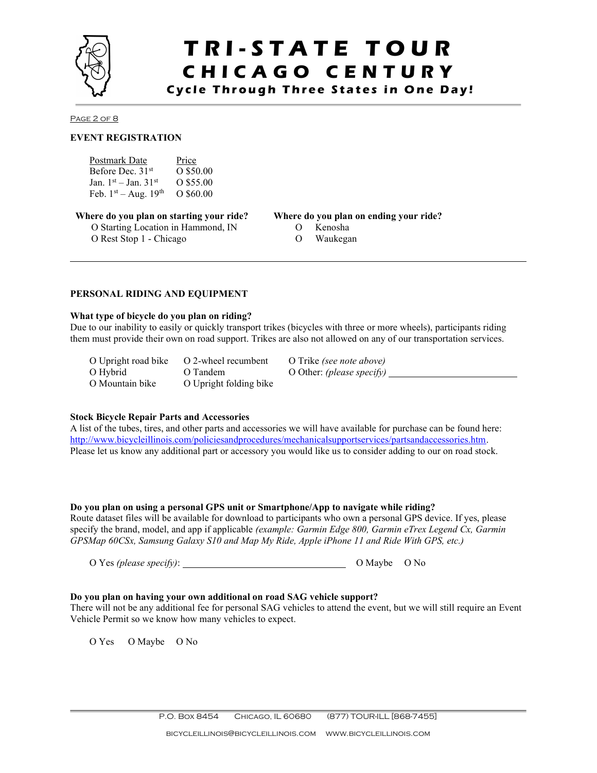

### T R I - S T A T E T O U R CHICAGO CENTURY

Cycle Through Three States in One Day!

Page 2 of 8

l

### EVENT REGISTRATION

| Postmark Date                  | Price       |
|--------------------------------|-------------|
| Before Dec. 31 <sup>st</sup>   | O \$50.00   |
| Jan. $1^{st}$ – Jan. $31^{st}$ | O \$55.00   |
| Feb. $1^{st}$ – Aug. $19^{th}$ | $O$ \$60.00 |

Where do you plan on starting your ride? Where do you plan on ending your ride? O Starting Location in Hammond, IN O Rest Stop 1 - Chicago

- O Kenosha
- O Waukegan

#### PERSONAL RIDING AND EQUIPMENT

### What type of bicycle do you plan on riding?

Due to our inability to easily or quickly transport trikes (bicycles with three or more wheels), participants riding them must provide their own on road support. Trikes are also not allowed on any of our transportation services.

O Upright road bike O 2-wheel recumbent O Trike (see note above) O Hybrid O Tandem O Other: (please specify) \_\_\_\_ O Mountain bike O Upright folding bike

### Stock Bicycle Repair Parts and Accessories

A list of the tubes, tires, and other parts and accessories we will have available for purchase can be found here: http://www.bicycleillinois.com/policiesandprocedures/mechanicalsupportservices/partsandaccessories.htm. Please let us know any additional part or accessory you would like us to consider adding to our on road stock.

#### Do you plan on using a personal GPS unit or Smartphone/App to navigate while riding?

Route dataset files will be available for download to participants who own a personal GPS device. If yes, please specify the brand, model, and app if applicable (example: Garmin Edge 800, Garmin eTrex Legend Cx, Garmin GPSMap 60CSx, Samsung Galaxy S10 and Map My Ride, Apple iPhone 11 and Ride With GPS, etc.)

O Yes (please specify): <u>Contained</u> O Maybe O No

### Do you plan on having your own additional on road SAG vehicle support?

There will not be any additional fee for personal SAG vehicles to attend the event, but we will still require an Event Vehicle Permit so we know how many vehicles to expect.

O Yes O Maybe O No

 $\overline{a}$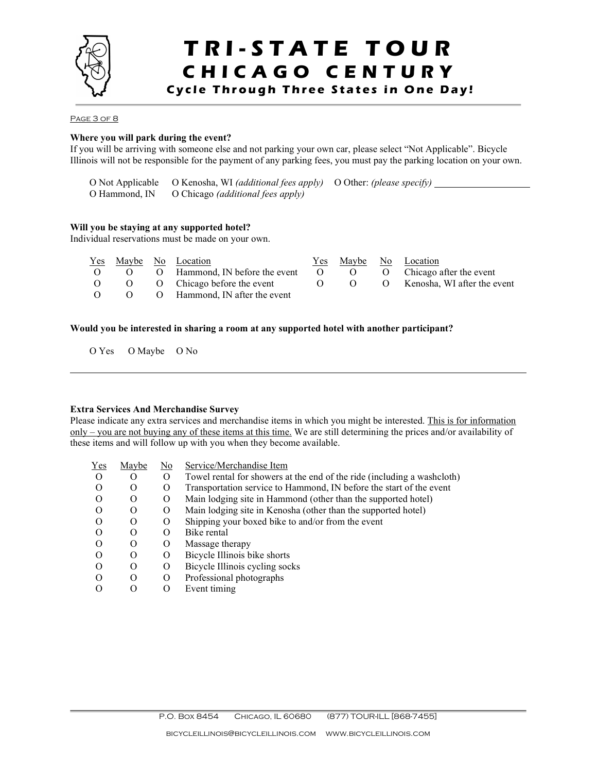

### TRI-STATE TOUR CHICAGO CENTURY Cycle Through Three States in One Day!

PAGE 3 OF 8

 $\overline{a}$ 

l

### Where you will park during the event?

If you will be arriving with someone else and not parking your own car, please select "Not Applicable". Bicycle Illinois will not be responsible for the payment of any parking fees, you must pay the parking location on your own.

O Not Applicable O Kenosha, WI (additional fees apply) O Other: (please specify) O Hammond, IN O Chicago (additional fees apply)

### Will you be staying at any supported hotel?

Individual reservations must be made on your own.

|          |  | <u>Yes Maybe No Location</u>                                   |  | Yes Maybe No Location |
|----------|--|----------------------------------------------------------------|--|-----------------------|
| $\Omega$ |  | O O Hammond, IN before the event O O O Chicago after the event |  |                       |
|          |  | O O Chicago before the event O O O Kenosha, WI after the event |  |                       |
|          |  | O O Hammond, IN after the event                                |  |                       |

### Would you be interested in sharing a room at any supported hotel with another participant?

O Yes O Maybe O No

#### Extra Services And Merchandise Survey

Please indicate any extra services and merchandise items in which you might be interested. This is for information only – you are not buying any of these items at this time. We are still determining the prices and/or availability of these items and will follow up with you when they become available.

| Yes      | Maybe            | No       | Service/Merchandise Item                                                |
|----------|------------------|----------|-------------------------------------------------------------------------|
| $\Omega$ | O                | $\Omega$ | Towel rental for showers at the end of the ride (including a washcloth) |
| $\Omega$ | O                | O        | Transportation service to Hammond, IN before the start of the event     |
| $\Omega$ | O                | O        | Main lodging site in Hammond (other than the supported hotel)           |
| $\Omega$ | $\lambda$        | $\Omega$ | Main lodging site in Kenosha (other than the supported hotel)           |
| $\Omega$ | $\theta$         | O        | Shipping your boxed bike to and/or from the event                       |
| $\Omega$ | $\theta$         | O        | Bike rental                                                             |
| $\Omega$ | $\Omega$         | O        | Massage therapy                                                         |
| $\Omega$ | O                | O        | Bicycle Illinois bike shorts                                            |
| $\Omega$ | O                | O        | Bicycle Illinois cycling socks                                          |
| $\Omega$ | Ω                | O        | Professional photographs                                                |
|          | $\left( \right)$ |          | Event timing                                                            |
|          |                  |          |                                                                         |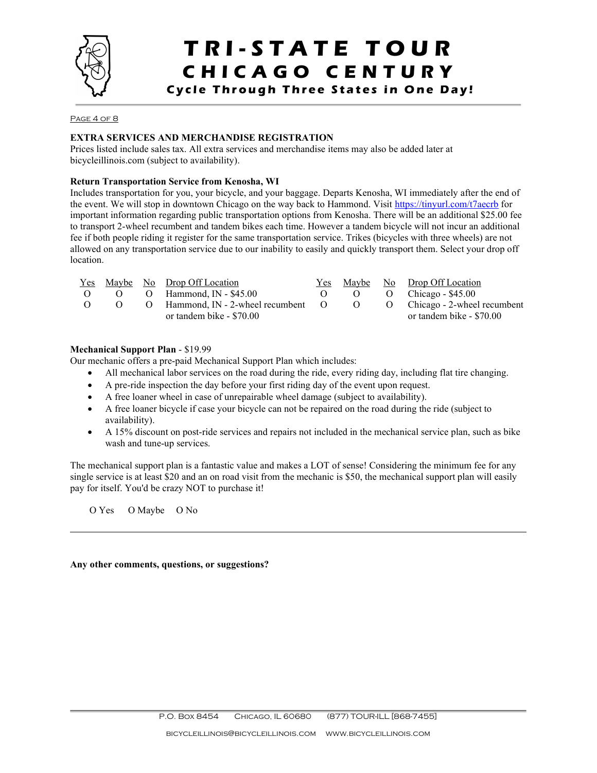

# T R I - S T A T E T O U R CHICAGO CENTURY

Cycle Through Three States in One Day!

#### PAGE 4 OF 8

### EXTRA SERVICES AND MERCHANDISE REGISTRATION

Prices listed include sales tax. All extra services and merchandise items may also be added later at bicycleillinois.com (subject to availability).

#### Return Transportation Service from Kenosha, WI

Includes transportation for you, your bicycle, and your baggage. Departs Kenosha, WI immediately after the end of the event. We will stop in downtown Chicago on the way back to Hammond. Visit https://tinyurl.com/t7aecrb for important information regarding public transportation options from Kenosha. There will be an additional \$25.00 fee to transport 2-wheel recumbent and tandem bikes each time. However a tandem bicycle will not incur an additional fee if both people riding it register for the same transportation service. Trikes (bicycles with three wheels) are not allowed on any transportation service due to our inability to easily and quickly transport them. Select your drop off location.

|          |          | <u>Yes Maybe No Drop Off Location</u>                               |          | Yes Maybe No Drop Off Location |
|----------|----------|---------------------------------------------------------------------|----------|--------------------------------|
|          |          | $O$ $O$ $O$ Hammond, IN - \$45.00                                   | $\sim$ 0 | $O$ Chicago - \$45.00          |
| $\Omega$ | $\Omega$ | O Hammond, IN - 2-wheel recumbent O O O Chicago - 2-wheel recumbent |          |                                |
|          |          | or tandem bike - \$70.00                                            |          | or tandem bike - \$70.00       |

#### Mechanical Support Plan - \$19.99

Our mechanic offers a pre-paid Mechanical Support Plan which includes:

- All mechanical labor services on the road during the ride, every riding day, including flat tire changing.
- A pre-ride inspection the day before your first riding day of the event upon request.
- A free loaner wheel in case of unrepairable wheel damage (subject to availability).
- A free loaner bicycle if case your bicycle can not be repaired on the road during the ride (subject to availability).
- A 15% discount on post-ride services and repairs not included in the mechanical service plan, such as bike wash and tune-up services.

The mechanical support plan is a fantastic value and makes a LOT of sense! Considering the minimum fee for any single service is at least \$20 and an on road visit from the mechanic is \$50, the mechanical support plan will easily pay for itself. You'd be crazy NOT to purchase it!

O Yes O Maybe O No

 $\overline{a}$ 

l

Any other comments, questions, or suggestions?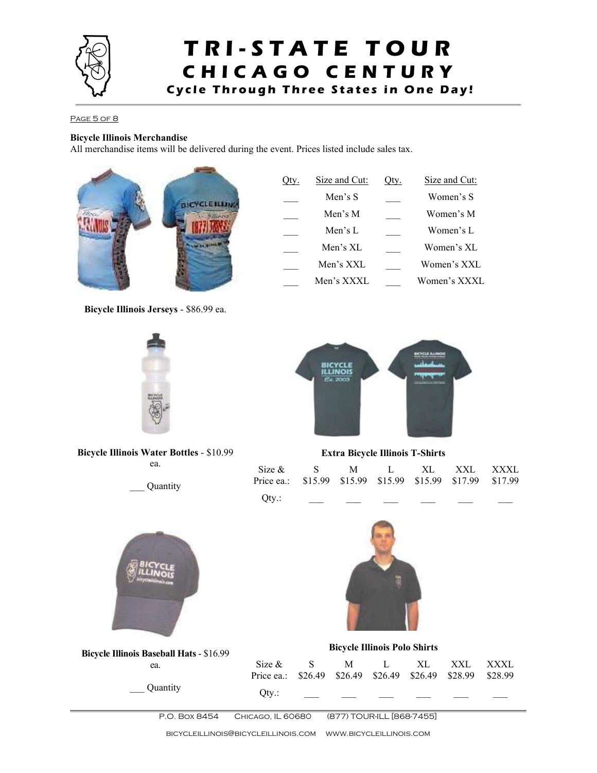

### TRI-STATE TOUR CHICAGO CENTURY Cycle Through Three States in One Day!

### PAGE 5 OF 8

### Bicycle Illinois Merchandise

All merchandise items will be delivered during the event. Prices listed include sales tax.



Bicycle Illinois Jerseys - \$86.99 ea.



Bicycle Illinois Water Bottles - \$10.99 ea.

\_\_\_ Quantity



Extra Bicycle Illinois T-Shirts

| Size & S M L XL XXL XXXL<br>Price ea.: \$15.99 \$15.99 \$15.99 \$15.99 \$17.99 \$17.99 |  |  |  |
|----------------------------------------------------------------------------------------|--|--|--|
| Qty.:                                                                                  |  |  |  |



 $\overline{a}$ 



Bicycle Illinois Baseball Hats - \$16.99 ea. \_\_\_ Quantity Bicycle Illinois Polo Shirts Size & Price ea.: S \$26.49 M \$26.49 L \$26.49 XL \$26.49 XXL \$28.99 XXXL \$28.99  $Qty$ .:

P.O. Box 8454 Chicago, IL 60680 (877) TOUR-ILL [868-7455]

bicycleillinois@bicycleillinois.com www.bicycleillinois.com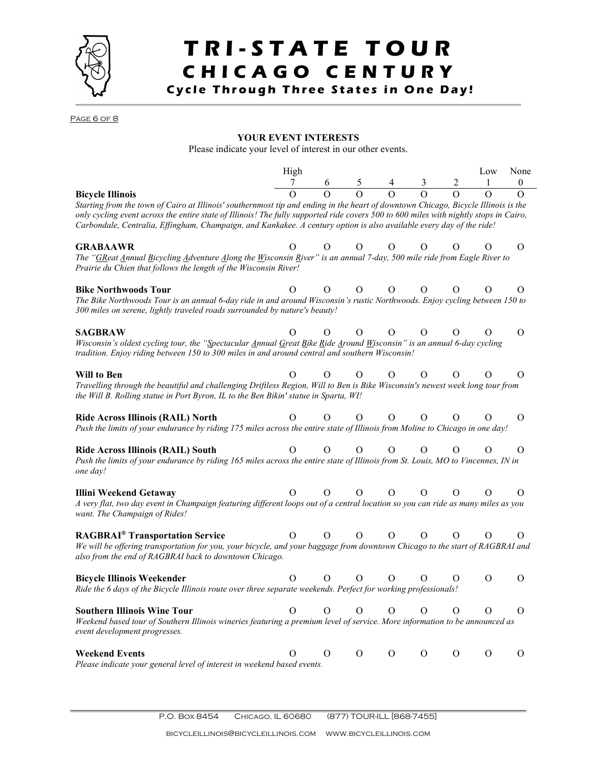

# TRI-STATE TOUR CHICAGO CENTURY

Cycle Through Three States in One Day!

PAGE 6 OF 8

 $\overline{a}$ 

### YOUR EVENT INTERESTS

Please indicate your level of interest in our other events.

|                                                                                                                                                                                                                                                                                                                                                                                                                                | High     |          |                                                                                                                           |          |          |   | Low      | None         |
|--------------------------------------------------------------------------------------------------------------------------------------------------------------------------------------------------------------------------------------------------------------------------------------------------------------------------------------------------------------------------------------------------------------------------------|----------|----------|---------------------------------------------------------------------------------------------------------------------------|----------|----------|---|----------|--------------|
|                                                                                                                                                                                                                                                                                                                                                                                                                                |          |          | $\begin{array}{ccccccccc}\n\stackrel{\circ}{7} & & 6 & & 5 & & 4 & & 3 \\ \hline\n0 & & 0 & & 0 & & 0 & & 0\n\end{array}$ |          |          |   |          | $\mathbf{0}$ |
| <b>Bicycle Illinois</b><br>Starting from the town of Cairo at Illinois' southernmost tip and ending in the heart of downtown Chicago, Bicycle Illinois is the<br>only cycling event across the entire state of Illinois! The fully supported ride covers 500 to 600 miles with nightly stops in Cairo,<br>Carbondale, Centralia, Effingham, Champaign, and Kankakee. A century option is also available every day of the ride! |          |          |                                                                                                                           |          |          |   |          |              |
| <b>GRABAAWR</b><br>The "GReat Annual Bicycling Adventure Along the Wisconsin River" is an annual 7-day, 500 mile ride from Eagle River to<br>Prairie du Chien that follows the length of the Wisconsin River!                                                                                                                                                                                                                  | $\Omega$ | $\Omega$ | $\Omega$                                                                                                                  | $\Omega$ | Ω        | Ω | $\Omega$ | $\Omega$     |
| <b>Bike Northwoods Tour</b><br>The Bike Northwoods Tour is an annual 6-day ride in and around Wisconsin's rustic Northwoods. Enjoy cycling between 150 to<br>300 miles on serene, lightly traveled roads surrounded by nature's beauty!                                                                                                                                                                                        | $\Omega$ | Ο        | O                                                                                                                         | $\Omega$ | Ο        | O | O        | O            |
| <b>SAGBRAW</b><br>Wisconsin's oldest cycling tour, the "Spectacular Annual Great Bike Ride Around Wisconsin" is an annual 6-day cycling<br>tradition. Enjoy riding between 150 to 300 miles in and around central and southern Wisconsin!                                                                                                                                                                                      | O        | O        | O                                                                                                                         | Ο        | O        | O | Ο        | O            |
| Will to Ben<br>Travelling through the beautiful and challenging Driftless Region, Will to Ben is Bike Wisconsin's newest week long tour from<br>the Will B. Rolling statue in Port Byron, IL to the Ben Bikin' statue in Sparta, WI!                                                                                                                                                                                           | Ω        | Ω        | O                                                                                                                         | $\Omega$ | $\Omega$ | Ω | Ο        | O            |
| Ride Across Illinois (RAIL) North<br>Push the limits of your endurance by riding 175 miles across the entire state of Illinois from Moline to Chicago in one day!                                                                                                                                                                                                                                                              | O        | O        | O                                                                                                                         | $\Omega$ | O        | Ο | Ο        | $\Omega$     |
| Ride Across Illinois (RAIL) South<br>Push the limits of your endurance by riding 165 miles across the entire state of Illinois from St. Louis, MO to Vincennes, IN in<br>one day!                                                                                                                                                                                                                                              | Ο        | Ω        | O                                                                                                                         | O        | O        | Ο | Ο        | O            |
| Illini Weekend Getaway<br>A very flat, two day event in Champaign featuring different loops out of a central location so you can ride as many miles as you<br>want. The Champaign of Rides!                                                                                                                                                                                                                                    | Ο        | Ο        | $\Omega$                                                                                                                  | $\Omega$ | Ο        | O | $\Omega$ | Ω            |
| <b>RAGBRAI®</b> Transportation Service<br>We will be offering transportation for you, your bicycle, and your baggage from downtown Chicago to the start of RAGBRAI and<br>also from the end of RAGBRAI back to downtown Chicago.                                                                                                                                                                                               | $\Omega$ | $\Omega$ | O                                                                                                                         | $\Omega$ | $\Omega$ | O | Ο        | Ο            |
| <b>Bicycle Illinois Weekender</b><br>Ride the 6 days of the Bicycle Illinois route over three separate weekends. Perfect for working professionals!                                                                                                                                                                                                                                                                            | $\Omega$ | Ω        | Ω                                                                                                                         | $\Omega$ | Ο        | Ο | O        | $\Omega$     |
| <b>Southern Illinois Wine Tour</b><br>Weekend based tour of Southern Illinois wineries featuring a premium level of service. More information to be announced as<br>event development progresses.                                                                                                                                                                                                                              | О        | O        | O                                                                                                                         | O        | O        | O | $\Omega$ | $\Omega$     |
| <b>Weekend Events</b><br>Please indicate your general level of interest in weekend based events.                                                                                                                                                                                                                                                                                                                               | O        | O        | $\Omega$                                                                                                                  | Ο        | O        | Ο | Ο        | Ο            |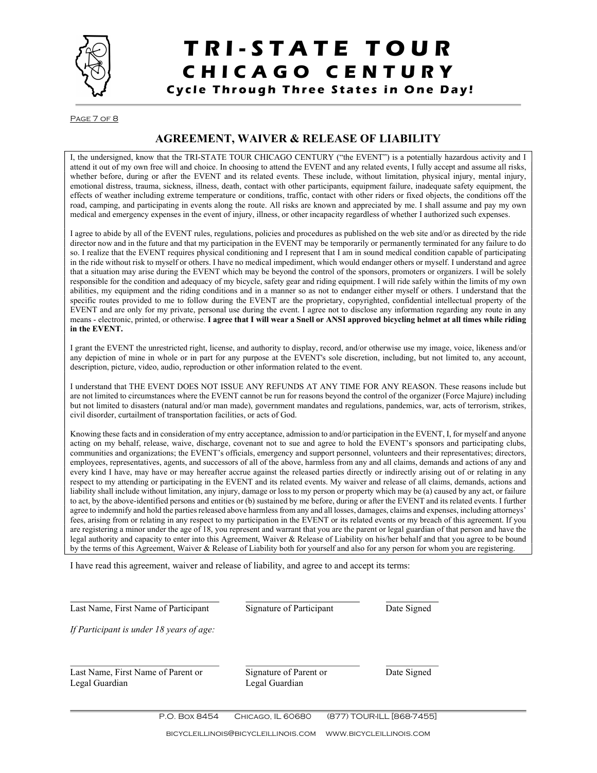

## TRI-STATE TOUR CHICAGO CENTURY

Cycle Through Three States in One Day!

Page 7 of 8

### AGREEMENT, WAIVER & RELEASE OF LIABILITY

I, the undersigned, know that the TRI-STATE TOUR CHICAGO CENTURY ("the EVENT") is a potentially hazardous activity and I attend it out of my own free will and choice. In choosing to attend the EVENT and any related events, I fully accept and assume all risks, whether before, during or after the EVENT and its related events. These include, without limitation, physical injury, mental injury, emotional distress, trauma, sickness, illness, death, contact with other participants, equipment failure, inadequate safety equipment, the effects of weather including extreme temperature or conditions, traffic, contact with other riders or fixed objects, the conditions off the road, camping, and participating in events along the route. All risks are known and appreciated by me. I shall assume and pay my own medical and emergency expenses in the event of injury, illness, or other incapacity regardless of whether I authorized such expenses.

I agree to abide by all of the EVENT rules, regulations, policies and procedures as published on the web site and/or as directed by the ride director now and in the future and that my participation in the EVENT may be temporarily or permanently terminated for any failure to do so. I realize that the EVENT requires physical conditioning and I represent that I am in sound medical condition capable of participating in the ride without risk to myself or others. I have no medical impediment, which would endanger others or myself. I understand and agree that a situation may arise during the EVENT which may be beyond the control of the sponsors, promoters or organizers. I will be solely responsible for the condition and adequacy of my bicycle, safety gear and riding equipment. I will ride safely within the limits of my own abilities, my equipment and the riding conditions and in a manner so as not to endanger either myself or others. I understand that the specific routes provided to me to follow during the EVENT are the proprietary, copyrighted, confidential intellectual property of the EVENT and are only for my private, personal use during the event. I agree not to disclose any information regarding any route in any means - electronic, printed, or otherwise. I agree that I will wear a Snell or ANSI approved bicycling helmet at all times while riding in the EVENT.

I grant the EVENT the unrestricted right, license, and authority to display, record, and/or otherwise use my image, voice, likeness and/or any depiction of mine in whole or in part for any purpose at the EVENT's sole discretion, including, but not limited to, any account, description, picture, video, audio, reproduction or other information related to the event.

I understand that THE EVENT DOES NOT ISSUE ANY REFUNDS AT ANY TIME FOR ANY REASON. These reasons include but are not limited to circumstances where the EVENT cannot be run for reasons beyond the control of the organizer (Force Majure) including but not limited to disasters (natural and/or man made), government mandates and regulations, pandemics, war, acts of terrorism, strikes, civil disorder, curtailment of transportation facilities, or acts of God.

Knowing these facts and in consideration of my entry acceptance, admission to and/or participation in the EVENT, I, for myself and anyone acting on my behalf, release, waive, discharge, covenant not to sue and agree to hold the EVENT's sponsors and participating clubs, communities and organizations; the EVENT's officials, emergency and support personnel, volunteers and their representatives; directors, employees, representatives, agents, and successors of all of the above, harmless from any and all claims, demands and actions of any and every kind I have, may have or may hereafter accrue against the released parties directly or indirectly arising out of or relating in any respect to my attending or participating in the EVENT and its related events. My waiver and release of all claims, demands, actions and liability shall include without limitation, any injury, damage or loss to my person or property which may be (a) caused by any act, or failure to act, by the above-identified persons and entities or (b) sustained by me before, during or after the EVENT and its related events. I further agree to indemnify and hold the parties released above harmless from any and all losses, damages, claims and expenses, including attorneys' fees, arising from or relating in any respect to my participation in the EVENT or its related events or my breach of this agreement. If you are registering a minor under the age of 18, you represent and warrant that you are the parent or legal guardian of that person and have the legal authority and capacity to enter into this Agreement, Waiver & Release of Liability on his/her behalf and that you agree to be bound by the terms of this Agreement, Waiver & Release of Liability both for yourself and also for any person for whom you are registering.

I have read this agreement, waiver and release of liability, and agree to and accept its terms:

| Last Name, First Name of Participant                 | Signature of Participant                 | Date Signed |  |  |
|------------------------------------------------------|------------------------------------------|-------------|--|--|
| If Participant is under 18 years of age:             |                                          |             |  |  |
| Last Name, First Name of Parent or<br>Legal Guardian | Signature of Parent or<br>Legal Guardian | Date Signed |  |  |
|                                                      |                                          |             |  |  |